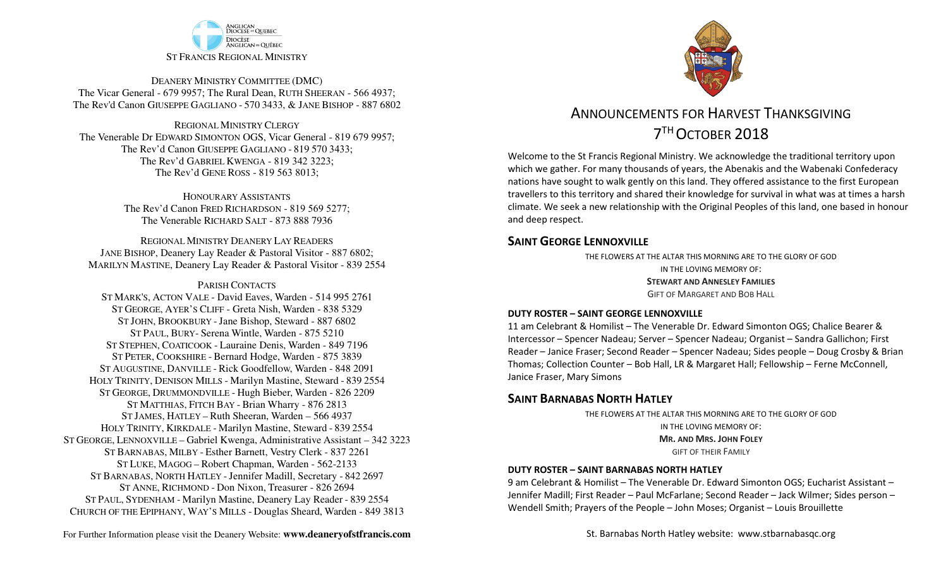

DEANERY MINISTRY COMMITTEE (DMC) The Vicar General - 679 9957; The Rural Dean, RUTH SHEERAN - 566 4937; The Rev'd Canon GIUSEPPE GAGLIANO - <sup>570</sup> 3433, & JANE BISHOP - 887 6802

REGIONAL MINISTRY CLERGY The Venerable Dr EDWARD SIMONTON OGS, Vicar General - 819 679 9957;The Rev'd Canon GIUSEPPE GAGLIANO - <sup>819</sup> <sup>570</sup> 3433; The Rev'd GABRIEL KWENGA - 819 342 3223;The Rev'd GENE ROSS - 819 563 8013;

> HONOURARY ASSISTANTS The Rev'd Canon FRED RICHARDSON - 819 569 5277;The Venerable RICHARD SALT - 873 888 7936

REGIONAL MINISTRY DEANERY LAY READERS JANE BISHOP, Deanery Lay Reader & Pastoral Visitor - 887 6802;MARILYN MASTINE, Deanery Lay Reader & Pastoral Visitor - 839 2554

#### PARISH CONTACTS

 ST MARK'S, ACTON VALE - David Eaves, Warden - 514 995 2761 ST GEORGE, AYER'S CLIFF - Greta Nish, Warden - 838 5329 ST JOHN, BROOKBURY -Jane Bishop, Steward - 887 6802 ST PAUL, BURY- Serena Wintle, Warden - 875 5210 ST STEPHEN, COATICOOK - Lauraine Denis, Warden - 849 7196 ST PETER, COOKSHIRE - Bernard Hodge, Warden - 875 3839 ST AUGUSTINE, DANVILLE - Rick Goodfellow, Warden - 848 2091 HOLY TRINITY, DENISON MILLS - Marilyn Mastine, Steward - <sup>839</sup> <sup>2554</sup> ST GEORGE, DRUMMONDVILLE - Hugh Bieber, Warden - 826 2209 ST MATTHIAS, FITCH BAY - Brian Wharry - 876 2813 ST JAMES, HATLEY – Ruth Sheeran, Warden – 566 4937 HOLY TRINITY, KIRKDALE - Marilyn Mastine, Steward - <sup>839</sup> <sup>2554</sup> ST GEORGE, LENNOXVILLE – Gabriel Kwenga, Administrative Assistant – 342 3223 ST BARNABAS, MILBY - Esther Barnett, Vestry Clerk - 837 2261 ST LUKE, MAGOG – Robert Chapman, Warden - 562-2133 ST BARNABAS, NORTH HATLEY -Jennifer Madill, Secretary - <sup>842</sup> <sup>2697</sup> ST ANNE, RICHMOND - Don Nixon, Treasurer - 826 <sup>2694</sup> ST PAUL, SYDENHAM - Marilyn Mastine, Deanery Lay Reader - <sup>839</sup> <sup>2554</sup> CHURCH OF THE EPIPHANY, WAY'S MILLS - Douglas Sheard, Warden - 849 3813



# ANNOUNCEMENTS FOR HARVEST THANKSGIVING 7THOCTOBER 2018

Welcome to the St Francis Regional Ministry. We acknowledge the traditional territory upon which we gather. For many thousands of years, the Abenakis and the Wabenaki Confederacy nations have sought to walk gently on this land. They offered assistance to the first European travellers to this territory and shared their knowledge for survival in what was at times a harsh climate. We seek a new relationship with the Original Peoples of this land, one based in honour and deep respect.

### **SAINT GEORGE LENNOXVILLE**

THE FLOWERS AT THE ALTAR THIS MORNING ARE TO THE GLORY OF GODIN THE LOVING MEMORY OF: **STEWART AND ANNESLEY FAMILIES**GIFT OF MARGARET AND BOB HALL

#### **DUTY ROSTER – SAINT GEORGE LENNOXVILLE**

11 am Celebrant & Homilist – The Venerable Dr. Edward Simonton OGS; Chalice Bearer & Intercessor – Spencer Nadeau; Server – Spencer Nadeau; Organist – Sandra Gallichon; First Reader – Janice Fraser; Second Reader – Spencer Nadeau; Sides people – Doug Crosby & Brian Thomas; Collection Counter – Bob Hall, LR & Margaret Hall; Fellowship – Ferne McConnell, Janice Fraser, Mary Simons

### **SAINT BARNABAS NORTH HATLEY**

THE FLOWERS AT THE ALTAR THIS MORNING ARE TO THE GLORY OF GODIN THE LOVING MEMORY OF: **MR. AND MRS. JOHN FOLEY**GIFT OF THEIR FAMILY

#### **DUTY ROSTER – SAINT BARNABAS NORTH HATLEY**

9 am Celebrant & Homilist – The Venerable Dr. Edward Simonton OGS; Eucharist Assistant – Jennifer Madill; First Reader – Paul McFarlane; Second Reader – Jack Wilmer; Sides person – Wendell Smith; Prayers of the People – John Moses; Organist – Louis Brouillette